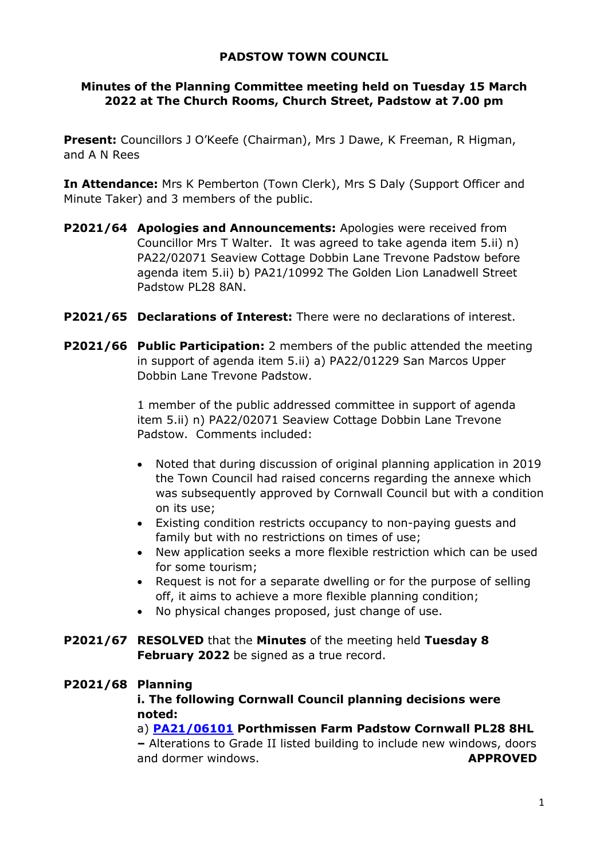# **PADSTOW TOWN COUNCIL**

# **Minutes of the Planning Committee meeting held on Tuesday 15 March 2022 at The Church Rooms, Church Street, Padstow at 7.00 pm**

**Present:** Councillors J O'Keefe (Chairman), Mrs J Dawe, K Freeman, R Higman, and A N Rees

**In Attendance:** Mrs K Pemberton (Town Clerk), Mrs S Daly (Support Officer and Minute Taker) and 3 members of the public.

- **P2021/64 Apologies and Announcements:** Apologies were received from Councillor Mrs T Walter. It was agreed to take agenda item 5.ii) n) PA22/02071 Seaview Cottage Dobbin Lane Trevone Padstow before agenda item 5.ii) b) PA21/10992 The Golden Lion Lanadwell Street Padstow PL28 8AN.
- **P2021/65 Declarations of Interest:** There were no declarations of interest.
- **P2021/66 Public Participation:** 2 members of the public attended the meeting in support of agenda item 5.ii) a) PA22/01229 San Marcos Upper Dobbin Lane Trevone Padstow.

1 member of the public addressed committee in support of agenda item 5.ii) n) PA22/02071 Seaview Cottage Dobbin Lane Trevone Padstow. Comments included:

- Noted that during discussion of original planning application in 2019 the Town Council had raised concerns regarding the annexe which was subsequently approved by Cornwall Council but with a condition on its use;
- Existing condition restricts occupancy to non-paying guests and family but with no restrictions on times of use;
- New application seeks a more flexible restriction which can be used for some tourism;
- Request is not for a separate dwelling or for the purpose of selling off, it aims to achieve a more flexible planning condition;
- No physical changes proposed, just change of use.
- **P2021/67 RESOLVED** that the **Minutes** of the meeting held **Tuesday 8 February 2022** be signed as a true record.

## **P2021/68 Planning**

### **i. The following Cornwall Council planning decisions were noted:**

a) **[PA21/06101](https://planning.cornwall.gov.uk/online-applications/applicationDetails.do?activeTab=documents&keyVal=QUJEU0FGI8J00) Porthmissen Farm Padstow Cornwall PL28 8HL** 

**–** Alterations to Grade II listed building to include new windows, doors and dormer windows. **APPROVED**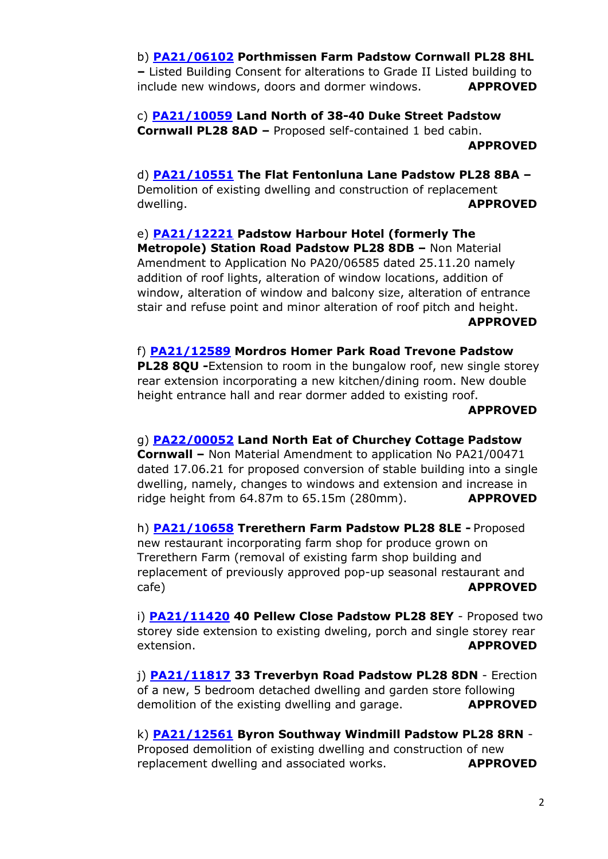## b) **[PA21/06102](https://planning.cornwall.gov.uk/online-applications/applicationDetails.do?activeTab=documents&keyVal=QUJEU2FGI8K00) Porthmissen Farm Padstow Cornwall PL28 8HL**

**–** Listed Building Consent for alterations to Grade II Listed building to include new windows, doors and dormer windows. **APPROVED** 

c) **[PA21/10059](https://planning.cornwall.gov.uk/online-applications/applicationDetails.do?activeTab=documents&keyVal=R0JX95FGLOZ00) Land North of 38-40 Duke Street Padstow Cornwall PL28 8AD –** Proposed self-contained 1 bed cabin. **APPROVED**

d) **[PA21/10551](https://planning.cornwall.gov.uk/online-applications/applicationDetails.do?activeTab=documents&keyVal=R1BMGWFGGI400) The Flat Fentonluna Lane Padstow PL28 8BA –** Demolition of existing dwelling and construction of replacement dwelling. **APPROVED** 

e) **[PA21/12221](https://planning.cornwall.gov.uk/online-applications/applicationDetails.do?activeTab=documents&keyVal=R3T4VWFGJ7C00) Padstow Harbour Hotel (formerly The Metropole) Station Road Padstow PL28 8DB –** Non Material Amendment to Application No PA20/06585 dated 25.11.20 namely addition of roof lights, alteration of window locations, addition of window, alteration of window and balcony size, alteration of entrance stair and refuse point and minor alteration of roof pitch and height. **APPROVED**

f) **[PA21/12589](https://planning.cornwall.gov.uk/online-applications/applicationDetails.do?activeTab=documents&keyVal=R4F1M4FGHH800) Mordros Homer Park Road Trevone Padstow PL28 8QU -**Extension to room in the bungalow roof, new single storey rear extension incorporating a new kitchen/dining room. New double height entrance hall and rear dormer added to existing roof.

#### **APPROVED**

### g) **[PA22/00052](https://planning.cornwall.gov.uk/online-applications/applicationDetails.do?activeTab=documents&keyVal=R58IPSFGKT300) Land North Eat of Churchey Cottage Padstow**

**Cornwall –** Non Material Amendment to application No PA21/00471 dated 17.06.21 for proposed conversion of stable building into a single dwelling, namely, changes to windows and extension and increase in ridge height from 64.87m to 65.15m (280mm). **APPROVED**

h) **[PA21/10658](https://planning.cornwall.gov.uk/online-applications/applicationDetails.do?activeTab=documents&keyVal=R1JHWMFGKXO00) Trerethern Farm Padstow PL28 8LE -** Proposed new restaurant incorporating farm shop for produce grown on Trerethern Farm (removal of existing farm shop building and replacement of previously approved pop-up seasonal restaurant and cafe) **APPROVED**

i) **[PA21/11420](https://planning.cornwall.gov.uk/online-applications/applicationDetails.do?activeTab=documents&keyVal=R2PGUZFGGIZ00) 40 Pellew Close Padstow PL28 8EY** - Proposed two storey side extension to existing dweling, porch and single storey rear extension. **APPROVED**

j) **[PA21/11817](https://planning.cornwall.gov.uk/online-applications/applicationDetails.do?activeTab=documents&keyVal=R37ZJXFGKON00) 33 Treverbyn Road Padstow PL28 8DN** - Erection of a new, 5 bedroom detached dwelling and garden store following demolition of the existing dwelling and garage. **APPROVED**

k) **[PA21/12561](https://planning.cornwall.gov.uk/online-applications/applicationDetails.do?activeTab=documents&keyVal=R4CYJSFGGMO00) Byron Southway Windmill Padstow PL28 8RN** - Proposed demolition of existing dwelling and construction of new replacement dwelling and associated works. **APPROVED**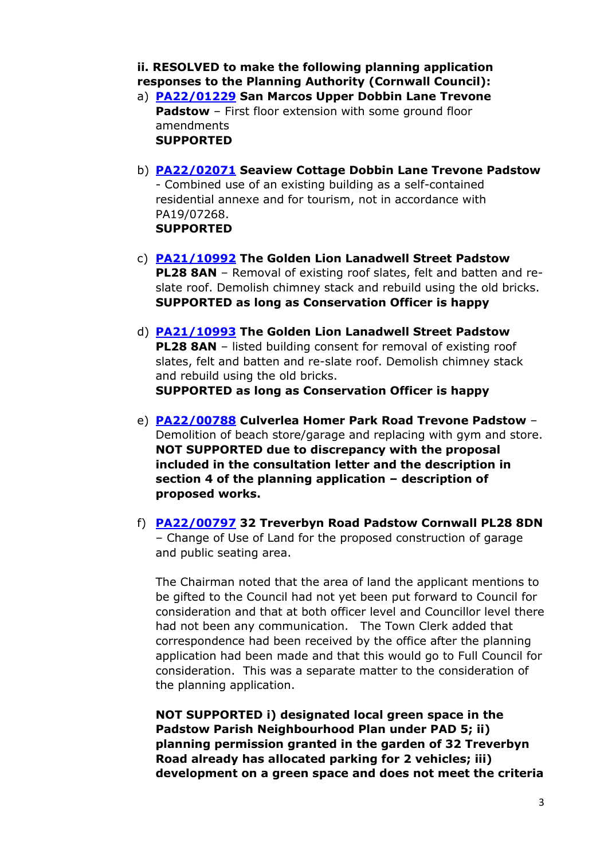**ii. RESOLVED to make the following planning application responses to the Planning Authority (Cornwall Council):** 

- a) **[PA22/01229](https://planning.cornwall.gov.uk/online-applications/applicationDetails.do?activeTab=documents&keyVal=R6Z8ZEFGKR200) San Marcos Upper Dobbin Lane Trevone Padstow** – First floor extension with some ground floor amendments **SUPPORTED**
- b) **[PA22/02071](https://planning.cornwall.gov.uk/online-applications/applicationDetails.do?activeTab=documents&keyVal=R80L8OFGLKJ00) Seaview Cottage Dobbin Lane Trevone Padstow** - Combined use of an existing building as a self-contained residential annexe and for tourism, not in accordance with PA19/07268. **SUPPORTED**
- c) **[PA21/10992](https://planning.cornwall.gov.uk/online-applications/applicationDetails.do?activeTab=documents&keyVal=R21MM0FGHKT00) The Golden Lion Lanadwell Street Padstow PL28 8AN** – Removal of existing roof slates, felt and batten and reslate roof. Demolish chimney stack and rebuild using the old bricks. **SUPPORTED as long as Conservation Officer is happy**
- d) **[PA21/10993](https://planning.cornwall.gov.uk/online-applications/applicationDetails.do?activeTab=documents&keyVal=R21MM3FGHKU00) The Golden Lion Lanadwell Street Padstow PL28 8AN** – listed building consent for removal of existing roof slates, felt and batten and re-slate roof. Demolish chimney stack and rebuild using the old bricks. **SUPPORTED as long as Conservation Officer is happy**
- e) **[PA22/00788](https://planning.cornwall.gov.uk/online-applications/applicationDetails.do?activeTab=documents&keyVal=R6DEYJFGLDM00) Culverlea Homer Park Road Trevone Padstow** Demolition of beach store/garage and replacing with gym and store. **NOT SUPPORTED due to discrepancy with the proposal included in the consultation letter and the description in section 4 of the planning application – description of proposed works.**
- f) **[PA22/00797](https://planning.cornwall.gov.uk/online-applications/applicationDetails.do?activeTab=documents&keyVal=R6DMJ4FGLJI00) 32 Treverbyn Road Padstow Cornwall PL28 8DN** – Change of Use of Land for the proposed construction of garage and public seating area.

The Chairman noted that the area of land the applicant mentions to be gifted to the Council had not yet been put forward to Council for consideration and that at both officer level and Councillor level there had not been any communication. The Town Clerk added that correspondence had been received by the office after the planning application had been made and that this would go to Full Council for consideration. This was a separate matter to the consideration of the planning application.

**NOT SUPPORTED i) designated local green space in the Padstow Parish Neighbourhood Plan under PAD 5; ii) planning permission granted in the garden of 32 Treverbyn Road already has allocated parking for 2 vehicles; iii) development on a green space and does not meet the criteria**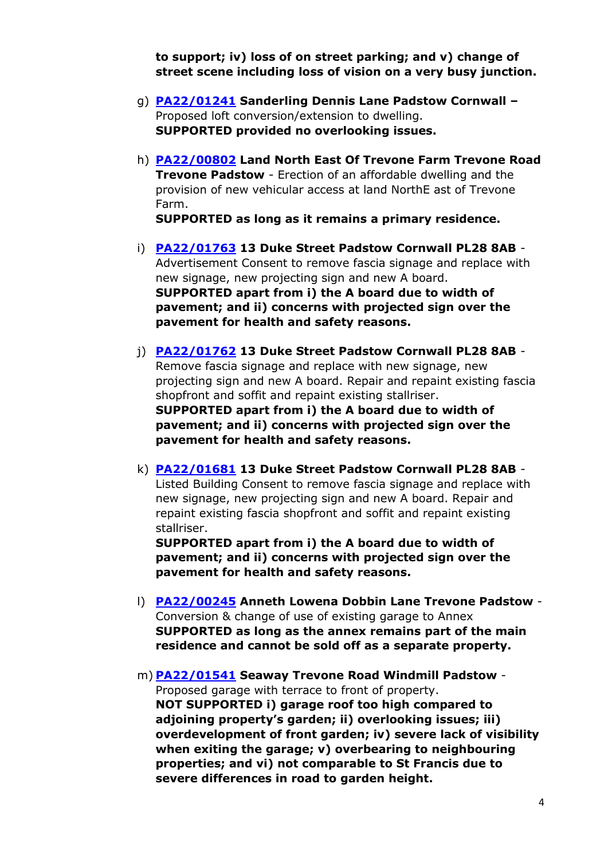**to support; iv) loss of on street parking; and v) change of street scene including loss of vision on a very busy junction.**

- g) **[PA22/01241](https://planning.cornwall.gov.uk/online-applications/applicationDetails.do?activeTab=documents&keyVal=R6Z95QFGKRV00) Sanderling Dennis Lane Padstow Cornwall –** Proposed loft conversion/extension to dwelling. **SUPPORTED provided no overlooking issues.**
- h) **[PA22/00802](https://planning.cornwall.gov.uk/online-applications/applicationDetails.do?activeTab=documents&keyVal=R6DPBMFGLLC00) Land North East Of Trevone Farm Trevone Road Trevone Padstow** - Erection of an affordable dwelling and the provision of new vehicular access at land NorthE ast of Trevone Farm.

**SUPPORTED as long as it remains a primary residence.** 

- i) **[PA22/01763](https://planning.cornwall.gov.uk/online-applications/applicationDetails.do?activeTab=documents&keyVal=R7NFWOFGKOD00) 13 Duke Street Padstow Cornwall PL28 8AB** Advertisement Consent to remove fascia signage and replace with new signage, new projecting sign and new A board. **SUPPORTED apart from i) the A board due to width of pavement; and ii) concerns with projected sign over the pavement for health and safety reasons.**
- j) **[PA22/01762](https://planning.cornwall.gov.uk/online-applications/simpleSearchResults.do?action=firstPage) 13 Duke Street Padstow Cornwall PL28 8AB** Remove fascia signage and replace with new signage, new projecting sign and new A board. Repair and repaint existing fascia shopfront and soffit and repaint existing stallriser. **SUPPORTED apart from i) the A board due to width of pavement; and ii) concerns with projected sign over the pavement for health and safety reasons.**
- k) **[PA22/01681](https://planning.cornwall.gov.uk/online-applications/applicationDetails.do?activeTab=documents&keyVal=R7GJYQFGH1800) 13 Duke Street Padstow Cornwall PL28 8AB** Listed Building Consent to remove fascia signage and replace with new signage, new projecting sign and new A board. Repair and repaint existing fascia shopfront and soffit and repaint existing stallriser.

**SUPPORTED apart from i) the A board due to width of pavement; and ii) concerns with projected sign over the pavement for health and safety reasons.** 

- l) **[PA22/00245](https://planning.cornwall.gov.uk/online-applications/applicationDetails.do?activeTab=documents&keyVal=R5K0PPFGKO000) Anneth Lowena Dobbin Lane Trevone Padstow**  Conversion & change of use of existing garage to Annex **SUPPORTED as long as the annex remains part of the main residence and cannot be sold off as a separate property.**
- m) **[PA22/01541](https://planning.cornwall.gov.uk/online-applications/applicationDetails.do?activeTab=documents&keyVal=R7CEW6FG0JQ00) Seaway Trevone Road Windmill Padstow** Proposed garage with terrace to front of property. **NOT SUPPORTED i) garage roof too high compared to adjoining property's garden; ii) overlooking issues; iii) overdevelopment of front garden; iv) severe lack of visibility when exiting the garage; v) overbearing to neighbouring properties; and vi) not comparable to St Francis due to severe differences in road to garden height.**